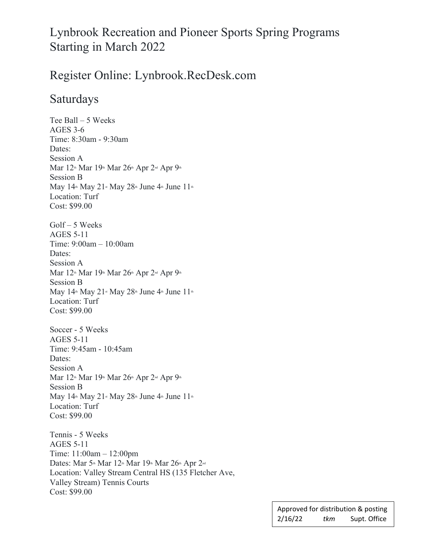# Lynbrook Recreation and Pioneer Sports Spring Programs Starting in March 2022

## Register Online: Lynbrook.RecDesk.com

#### Saturdays

Tee Ball – 5 Weeks AGES 3-6 Time: 8:30am - 9:30am Dates: Session A Mar 12<sup>th</sup> Mar 19<sup>th</sup> Mar 26<sup>th</sup> Apr 2<sup>nd</sup> Apr 9<sup>th</sup> Session B May  $14^{\text{th}}$  May  $21^{\text{st}}$  May  $28^{\text{th}}$  June  $4^{\text{th}}$  June  $11^{\text{th}}$ Location: Turf Cost: \$99.00 Golf – 5 Weeks AGES 5-11 Time: 9:00am – 10:00am Dates: Session A Mar 12<sup>th</sup> Mar 19<sup>th</sup> Mar 26<sup>th</sup> Apr 2<sup>nd</sup> Apr 9<sup>th</sup> Session B May  $14<sup>th</sup>$  May  $21<sup>st</sup>$  May  $28<sup>th</sup>$  June  $4<sup>th</sup>$  June  $11<sup>th</sup>$ Location: Turf Cost: \$99.00 Soccer - 5 Weeks AGES 5-11 Time: 9:45am - 10:45am Dates: Session A Mar 12th Mar 19th Mar 26th Apr 2<sup>nd</sup> Apr 9th Session B May  $14^{\text{th}}$  May  $21^{\text{st}}$  May  $28^{\text{th}}$  June  $4^{\text{th}}$  June  $11^{\text{th}}$ Location: Turf Cost: \$99.00 Tennis - 5 Weeks AGES 5-11 Time: 11:00am – 12:00pm Dates: Mar 5<sup>th</sup> Mar 12<sup>th</sup> Mar 19<sup>th</sup> Mar 26<sup>th</sup> Apr 2<sup>nd</sup> Location: Valley Stream Central HS (135 Fletcher Ave, Valley Stream) Tennis Courts

Cost: \$99.00

|         |     | Approved for distribution & posting |
|---------|-----|-------------------------------------|
| 2/16/22 | tkm | Supt. Office                        |

ֺ֖֚֝֬